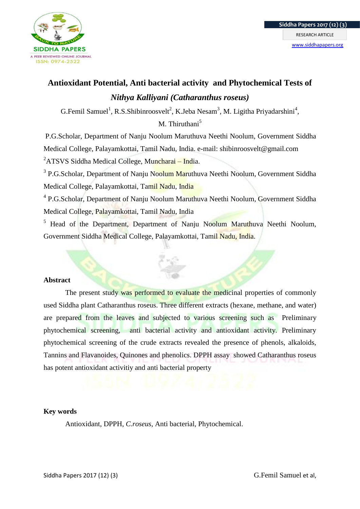

# **Antioxidant Potential, Anti bacterial activity and Phytochemical Tests of**  *Nithya Kalliyani (Catharanthus roseus)*

G.Femil Samuel<sup>1</sup>, R.S.Shibinroosvelt<sup>2</sup>, K.Jeba Nesam<sup>3</sup>, M. Ligitha Priyadarshini<sup>4</sup>,

M. Thiruthani<sup>5</sup>

P.G.Scholar, Department of Nanju Noolum Maruthuva Neethi Noolum, Government Siddha Medical College, Palayamkottai, Tamil Nadu, India. e-mail: shibinroosvelt@gmail.com  ${}^{2}$ ATSVS Siddha Medical College, Muncharai – India.

<sup>3</sup> P.G.Scholar, Department of Nanju Noolum Maruthuva Neethi Noolum, Government Siddha Medical College, Palayamkottai, Tamil Nadu, India

<sup>4</sup> P.G.Scholar, Department of Nanju Noolum Maruthuva Neethi Noolum, Government Siddha Medical College, Palayamkottai, Tamil Nadu, India

<sup>5</sup> Head of the Department, Department of Nanju Noolum Maruthuva Neethi Noolum, Government Siddha Medical College, Palayamkottai, Tamil Nadu, India.

# **Abstract**

The present study was performed to evaluate the medicinal properties of commonly used Siddha plant Catharanthus roseus. Three different extracts (hexane, methane, and water) are prepared from the leaves and subjected to various screening such as Preliminary phytochemical screening, anti bacterial activity and antioxidant activity. Preliminary phytochemical screening of the crude extracts revealed the presence of phenols, alkaloids, Tannins and Flavanoides, Quinones and phenolics. DPPH assay showed Catharanthus roseus has potent antioxidant activitiy and anti bacterial property

# **Key words**

Antioxidant, DPPH, *C.roseus*, Anti bacterial, Phytochemical.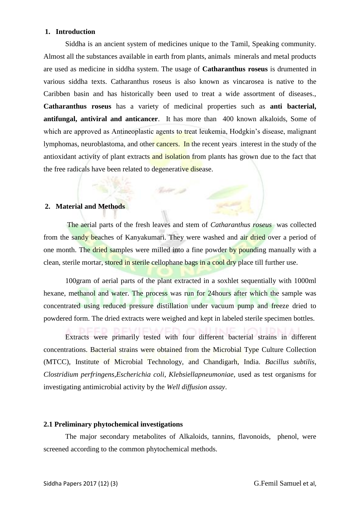## **1. Introduction**

Siddha is an ancient system of medicines unique to the Tamil, Speaking community. Almost all the substances available in earth from plants, animals minerals and metal products are used as medicine in siddha system. The usage of **Catharanthus roseus** is drumented in various siddha texts. Catharanthus roseus is also known as vincarosea is native to the Caribben basin and has historically been used to treat a wide assortment of diseases., **Catharanthus roseus** has a variety of medicinal properties such as **anti bacterial, antifungal, antiviral and anticancer**. It has more than 400 known alkaloids, Some of which are approved as Antineoplastic agents to treat leukemia, Hodgkin's disease, malignant lymphomas, neuroblastoma, and other cancers. In the recent years interest in the study of the antioxidant activity of plant extracts and isolation from plants has grown due to the fact that the free radicals have been related to degenerative disease.

## **2. Material and Methods**

The aerial parts of the fresh leaves and stem of *Catharanthus roseus* was collected from the sandy beaches of Kanyakumari. They were washed and air dried over a period of one month. The dried samples were milled into a fine powder by pounding manually with a clean, sterile mortar, stored in sterile cellophane bags in a cool dry place till further use.

 $\label{eq:2.1} \mathcal{L}_{\mathcal{C}}(t^{\mu},\rho)$ 

100gram of aerial parts of the plant extracted in a soxhlet sequentially with 1000ml hexane, methanol and water. The process was run for 24hours after which the sample was concentrated using reduced pressure distillation under vacuum pump and freeze dried to powdered form. The dried extracts were weighed and kept in labeled sterile specimen bottles.

Extracts were primarily tested with four different bacterial strains in different concentrations. Bacterial strains were obtained from the Microbial Type Culture Collection (MTCC), Institute of Microbial Technology, and Chandigarh, India. *Bacillus subtilis*, *Clostridium perfringens*,*Escherichia coli*, *Klebsiellapneumoniae*, used as test organisms for investigating antimicrobial activity by the *Well diffusion assay*.

#### **2.1 Preliminary phytochemical investigations**

The major secondary metabolites of Alkaloids, tannins, flavonoids, phenol, were screened according to the common phytochemical methods.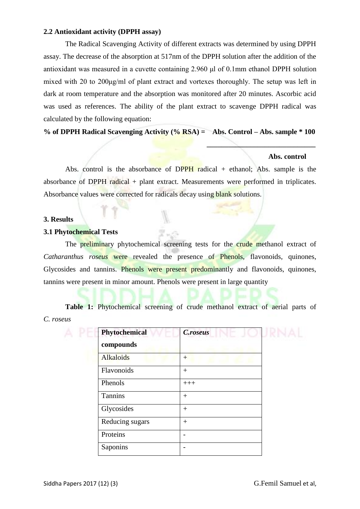## **2.2 Antioxidant activity (DPPH assay)**

The Radical Scavenging Activity of different extracts was determined by using DPPH assay. The decrease of the absorption at 517nm of the DPPH solution after the addition of the antioxidant was measured in a cuvette containing 2.960 μl of 0.1mm ethanol DPPH solution mixed with 20 to 200μg/ml of plant extract and vortexes thoroughly. The setup was left in dark at room temperature and the absorption was monitored after 20 minutes. Ascorbic acid was used as references. The ability of the plant extract to scavenge DPPH radical was calculated by the following equation:

**% of DPPH Radical Scavenging Activity (% RSA) = Abs. Control – Abs. sample \* 100**

 **\_\_\_\_\_\_\_\_\_\_\_\_\_\_\_\_\_\_\_\_\_\_\_\_\_\_\_\_\_\_**

## **Abs. control**

Abs. control is the absorbance of DPPH radical  $+$  ethanol; Abs. sample is the absorbance of DPPH radical + plant extract. Measurements were performed in triplicates. Absorbance values were corrected for radicals decay using blank solutions.

#### **3. Results**

## **3.1 Phytochemical Tests**

The preliminary phytochemical screening tests for the crude methanol extract of *Catharanthus roseus* were revealed the presence of Phenols, flavonoids, quinones, Glycosides and tannins. Phenols were present predominantly and flavonoids, quinones, tannins were present in minor amount. Phenols were present in large quantity

**Table 1:** Phytochemical screening of crude methanol extract of aerial parts of *C. roseus*

| Phytochemical<br>compounds | C.roseus |  |
|----------------------------|----------|--|
| <b>Alkaloids</b>           | $^{+}$   |  |
| Flavonoids                 | $^{+}$   |  |
| Phenols                    | $+++$    |  |
| Tannins                    | $+$      |  |
| Glycosides                 | $^{+}$   |  |
| Reducing sugars            | $^{+}$   |  |
| Proteins                   |          |  |
| Saponins                   |          |  |
|                            |          |  |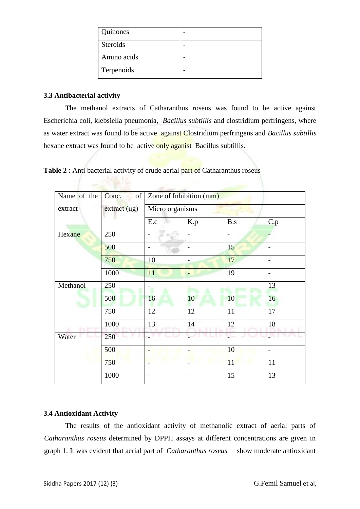| Quinones        |  |
|-----------------|--|
| <b>Steroids</b> |  |
| Amino acids     |  |
| Terpenoids      |  |

# **3.3 Antibacterial activity**

The methanol extracts of Catharanthus roseus was found to be active against Escherichia coli, klebsiella pneumonia, *Bacillus subtillis* and clostridium perfringens, where as water extract was found to be active against Clostridium perfringens and *Bacillus subtillis*  hexane extract was found to be active only aganist Bacillus subtillis.

**Table 2** : Anti bacterial activity of crude aerial part of Catharanthus roseus

**ANY MARKET AND RESPONSIVE** 

| Name of the | Conc.<br>of         | Zone of Inhibition (mm) |     |     |     |
|-------------|---------------------|-------------------------|-----|-----|-----|
| extract     | $ext{ract} (\mu g)$ | Micro organisms         |     |     |     |
|             |                     | E.c<br>- 798            | K.p | B.s | C.p |
| Hexane      | 250                 |                         |     |     |     |
|             | 500                 |                         |     | 15  |     |
|             | 750                 | 10                      |     | 17  |     |
|             | 1000                | 11                      |     | 19  |     |
| Methanol    | 250                 |                         |     |     | 13  |
|             | 500                 | 16                      | 10  | 10  | 16  |
|             | 750                 | 12                      | 12  | 11  | 17  |
|             | 1000                | 13                      | 14  | 12  | 18  |
| Water       | 250                 |                         |     |     |     |
|             | 500                 |                         |     | 10  |     |
|             | 750                 |                         |     | 11  | 11  |
|             | 1000                |                         |     | 15  | 13  |

# **3.4 Antioxidant Activity**

The results of the antioxidant activity of methanolic extract of aerial parts of *Catharanthus roseus* determined by DPPH assays at different concentrations are given in graph 1. It was evident that aerial part of *Catharanthus roseus* show moderate antioxidant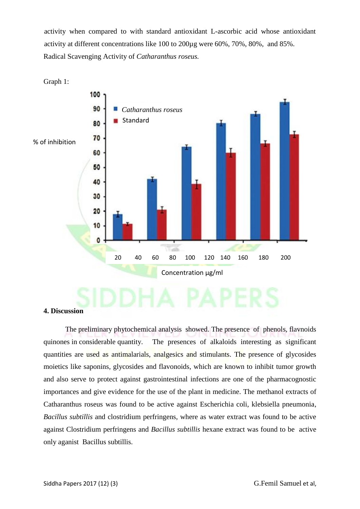activity when compared to with standard antioxidant L-ascorbic acid whose antioxidant activity at different concentrations like 100 to 200µg were 60%, 70%, 80%, and 85%. Radical Scavenging Activity of *Catharanthus roseus.*



### **4. Discussion**

The preliminary phytochemical analysis showed. The presence of phenols, flavnoids quinones in considerable quantity. The presences of alkaloids interesting as significant quantities are used as antimalarials, analgesics and stimulants. The presence of glycosides moietics like saponins, glycosides and flavonoids, which are known to inhibit tumor growth and also serve to protect against gastrointestinal infections are one of the pharmacognostic importances and give evidence for the use of the plant in medicine. The methanol extracts of Catharanthus roseus was found to be active against Escherichia coli, klebsiella pneumonia, *Bacillus subtillis* and clostridium perfringens, where as water extract was found to be active against Clostridium perfringens and *Bacillus subtillis* hexane extract was found to be active only aganist Bacillus subtillis.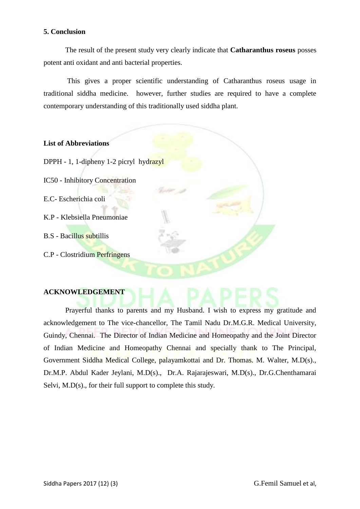## **5. Conclusion**

The result of the present study very clearly indicate that **Catharanthus roseus** posses potent anti oxidant and anti bacterial properties.

This gives a proper scientific understanding of Catharanthus roseus usage in traditional siddha medicine. however, further studies are required to have a complete contemporary understanding of this traditionally used siddha plant.



## **ACKNOWLEDGEMENT**

Prayerful thanks to parents and my Husband. I wish to express my gratitude and acknowledgement to The vice-chancellor, The Tamil Nadu Dr.M.G.R. Medical University, Guindy, Chennai. The Director of Indian Medicine and Homeopathy and the Joint Director of Indian Medicine and Homeopathy Chennai and specially thank to The Principal, Government Siddha Medical College, palayamkottai and Dr. Thomas. M. Walter, M.D(s)., Dr.M.P. Abdul Kader Jeylani, M.D(s)., Dr.A. Rajarajeswari, M.D(s)., Dr.G.Chenthamarai Selvi, M.D(s)., for their full support to complete this study.